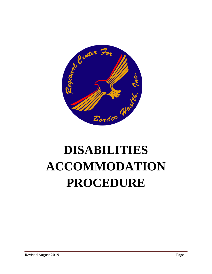

# **DISABILITIES ACCOMMODATION PROCEDURE**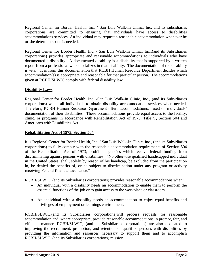Regional Center for Border Health, Inc. / San Luis Walk-In Clinic, Inc. and its subsidiaries corporations are committed to ensuring that individuals have access to disabilities accommodations services. An individual may request a reasonable accommodation whenever he or she determines one is needed.

Regional Center for Border Health, Inc. / San Luis Walk-In Clinic, Inc.,(and its Subsidiaries corporations) provides appropriate and reasonable accommodations to individuals who have documented a disability. A documented disability is a disability that is supported by a written report from a professional who specializes in that disability. The documentation of the disability is vital. It is from this documentation that RCBH Human Resource Department decides which accommodation(s) is appropriate and reasonable for that particular person. The accommodations given at RCBH/SLWIC comply with federal disability law.

#### **Disability Laws**

Regional Center for Border Health, Inc. /San Luis Walk-In Clinic, Inc., (and its Subsidiaries corporations) wants all individuals to obtain disability accommodation services when needed. Therefore, RCBH Human Resource Department offers accommodations, based on individuals' documentation of their disabilities. These accommodations provide equal access to the facility, clinic, or programs in accordance with Rehabilitation Act of 1973, Title V, Section 504 and Americans with Disabilities Act.

#### **Rehabilitation Act of 1973, Section 504**

It is Regional Center for Border Health, Inc. / San Luis Walk-In Clinic, Inc., (and its Subsidiaries corporations) to fully comply with the reasonable accommodation requirements of Section 504 of the Rehabilitation Act of 1973; prohibits agencies which receive federal funding from discriminating against persons with disabilities. "No otherwise qualified handicapped individual in the United States, shall, solely by reason of his handicap, be excluded from the participation in, be denied the benefits of, or be subject to discrimination under any program or activity receiving Federal financial assistance."

RCBH/SLWIC.,(and its Subsidiaries corporations) provides reasonable accommodations when:

- An individual with a disability needs an accommodation to enable them to perform the essential functions of the job or to gain access to the workplace or classroom.
- An individual with a disability needs an accommodation to enjoy equal benefits and privileges of employment or learnings environment.

RCBH/SLWIC,(and its Subsidiaries corporations)will process requests for reasonable accommodation and, where appropriate, provide reasonable accommodations in prompt, fair, and efficient manner. RCBH/SLWIC, (and its Subsidiaries corporations) are also dedicated to improving the recruitment, promotion, and retention of qualified persons with disabilities by providing the information and resources necessary to support them and to accomplish RCBH/SLWIC, (and its Subsidiaries corporations) mission.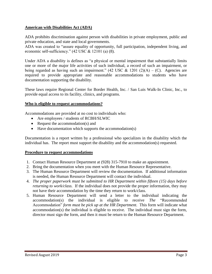#### **American with Disabilities Act (ADA)**

ADA prohibits discrimination against person with disabilities in private employment, public and private education, and state and local governments.

ADA was created to "assure equality of opportunity, full participation, independent living, and economic self-sufficiency." (42 USC & 12101 (a) (8).

Under ADA a disability is defines as "a physical or mental impairment that substantially limits one or more of the major life activities of such individual, a record of such an impairment, or being regarded as having such an impairment." (42 USC & 1201 (2)(A) – (C). Agencies are required to provide appropriate and reasonable accommodations to students who have documentation supporting the disability.

These laws require Regional Center for Border Health, Inc. / San Luis Walk-In Clinic, Inc., to provide equal access to its facility, clinics, and programs.

#### **Who is eligible to request accommodations?**

Accommodations are provided at no cost to individuals who:

- Are employees / students of RCBH/SLWIC
- Request the accommodation(s) and
- Have documentation which supports the accommodation(s)

Documentation is a report written by a professional who specializes in the disability which the individual has. The report must support the disability and the accommodation(s) requested.

#### **Procedure to request accommodations**

- 1. Contact Human Resource Department at (928) 315-7910 to make an appointment.
- 2. Bring the documentation when you meet with the Human Resource Representative.
- 3. The Human Resource Department will review the documentation. If additional information is needed, the Human Resource Department will contact the individual.
- 4. *The proper paperwork must be submitted to HR Department within fifteen (15) days before returning to work/class.* If the individual does not provide the proper information, they may not have their accommodation by the time they return to work/class.
- 5. Human Resource Department will send a letter to the individual indicating the accommodation(s) the individual is eligible to receive *The* "Recommended Accommodation" *form must be pick up at the HR Department.* This form will indicate what accommodation(s) the individual is eligible to receive. The individual must sign the form, director must sign the form, and then it must be return to the Human Resource Department.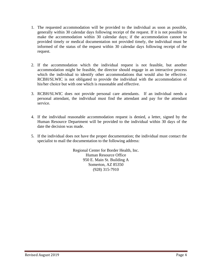- 1. The requested accommodation will be provided to the individual as soon as possible, generally within 30 calendar days following receipt of the request. If it is not possible to make the accommodation within 30 calendar days; if the accommodation cannot be provided timely or medical documentation not provided timely, the individual must be informed of the status of the request within 30 calendar days following receipt of the request.
- 2. If the accommodation which the individual request is not feasible, but another accommodation might be feasible, the director should engage in an interactive process which the individual to identify other accommodations that would also be effective. RCBH/SLWIC is not obligated to provide the individual with the accommodation of his/her choice but with one which is reasonable and effective.
- 3. RCBH/SLWIC does not provide personal care attendants. If an individual needs a personal attendant, the individual must find the attendant and pay for the attendant service.
- 4. If the individual reasonable accommodation request is denied, a letter, signed by the Human Resource Department will be provided to the individual within 30 days of the date the decision was made.
- 5. If the individual does not have the proper documentation; the individual must contact the specialist to mail the documentation to the following address:

Regional Center for Border Health, Inc. Human Resource Office 950 E. Main St. Building A Somerton, AZ 85350 (928) 315-7910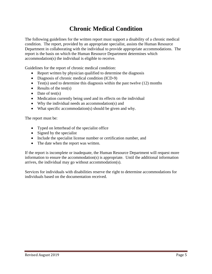## **Chronic Medical Condition**

The following guidelines for the written report must support a disability of a chronic medical condition. The report, provided by an appropriate specialist, assists the Human Resource Department in collaborating with the individual to provide appropriate accommodations. The report is the basis on which the Human Resource Department determines which accommodation(s) the individual is eligible to receive.

Guidelines for the report of chronic medical condition:

- Report written by physician qualified to determine the diagnosis
- Diagnosis of chronic medical condition (ICD-9)
- Test(s) used to determine this diagnosis within the past twelve  $(12)$  months
- Results of the test(s)
- Date of test(s)
- Medication currently being used and its effects on the individual
- Why the individual needs an accommodation(s) and
- What specific accommodation(s) should be given and why.

The report must be:

- Typed on letterhead of the specialist office
- Signed by the specialist
- Include the specialist license number or certification number, and
- The date when the report was written.

If the report is incomplete or inadequate, the Human Resource Department will request more information to ensure the accommodation(s) is appropriate. Until the additional information arrives, the individual may go without accommodation(s).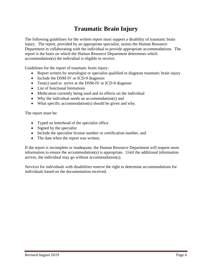## **Traumatic Brain Injury**

The following guidelines for the written report must support a disability of traumatic brain injury. The report, provided by an appropriate specialist, assists the Human Resource Department in collaborating with the individual to provide appropriate accommodations. The report is the basis on which the Human Resource Department determines which accommodation(s) the individual is eligible to receive.

Guidelines for the report of traumatic brain injury:

- Report written by neurologist or specialist qualified to diagnose traumatic brain injury
- Include the DSM-IV or ICD-9 diagnosis
- Test(s) used to arrive at the DSM-IV or ICD-9 diagnose
- List of functional limitations
- Medication currently being used and its effects on the individual
- Why the individual needs an accommodation(s) and
- What specific accommodation(s) should be given and why.

The report must be:

- Typed on letterhead of the specialist office
- Signed by the specialist
- Include the specialist license number or certification number, and
- The date when the report was written.

If the report is incomplete or inadequate, the Human Resource Department will request more information to ensure the accommodation(s) is appropriate. Until the additional information arrives, the individual may go without accommodation(s).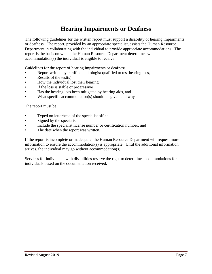### **Hearing Impairments or Deafness**

The following guidelines for the written report must support a disability of hearing impairments or deafness. The report, provided by an appropriate specialist, assists the Human Resource Department in collaborating with the individual to provide appropriate accommodations. The report is the basis on which the Human Resource Department determines which accommodation(s) the individual is eligible to receive.

Guidelines for the report of hearing impairments or deafness:

- Report written by certified audiologist qualified to test hearing loss,
- Results of the test( $s$ )
- How the individual lost their hearing
- If the loss is stable or progressive
- Has the hearing loss been mitigated by hearing aids, and
- What specific accommodation(s) should be given and why

The report must be:

- Typed on letterhead of the specialist office
- Signed by the specialist
- Include the specialist license number or certification number, and
- The date when the report was written.

If the report is incomplete or inadequate, the Human Resource Department will request more information to ensure the accommodation(s) is appropriate. Until the additional information arrives, the individual may go without accommodation(s).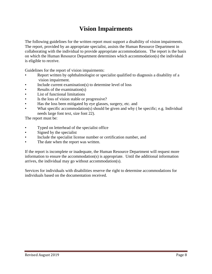## **Vision Impairments**

The following guidelines for the written report must support a disability of vision impairments. The report, provided by an appropriate specialist, assists the Human Resource Department in collaborating with the individual to provide appropriate accommodations. The report is the basis on which the Human Resource Department determines which accommodation(s) the individual is eligible to receive.

Guidelines for the report of vision impairments:

- Report written by ophthalmologist or specialist qualified to diagnosis a disability of a vision impairment.
- Include current examination(s) to determine level of loss
- Results of the examination(s)
- List of functional limitations
- Is the loss of vision stable or progressive?
- Has the loss been mitigated by eye glasses, surgery, etc. and
- What specific accommodation(s) should be given and why ( be specific; e.g. Individual needs large font text, size font 22).

The report must be:

- Typed on letterhead of the specialist office
- Signed by the specialist
- Include the specialist license number or certification number, and
- The date when the report was written.

If the report is incomplete or inadequate, the Human Resource Department will request more information to ensure the accommodation(s) is appropriate. Until the additional information arrives, the individual may go without accommodation(s).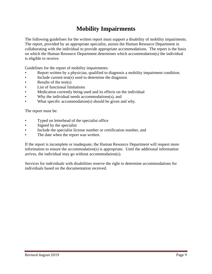## **Mobility Impairments**

The following guidelines for the written report must support a disability of mobility impairments. The report, provided by an appropriate specialist, assists the Human Resource Department in collaborating with the individual to provide appropriate accommodations. The report is the basis on which the Human Resource Department determines which accommodation(s) the individual is eligible to receive.

Guidelines for the report of mobility impairments:

- Report written by a physician, qualified to diagnosis a mobility impairment condition.
- Include current test $(s)$  used to determine the diagnosis
- Results of the test $(s)$
- List of functional limitations
- Medication currently being used and its effects on the individual
- Why the individual needs accommodations(s), and
- What specific accommodation(s) should be given and why.

The report must be:

- Typed on letterhead of the specialist office
- Signed by the specialist
- Include the specialist license number or certification number, and
- The date when the report was written.

If the report is incomplete or inadequate, the Human Resource Department will request more information to ensure the accommodation(s) is appropriate. Until the additional information arrives, the individual may go without accommodation(s).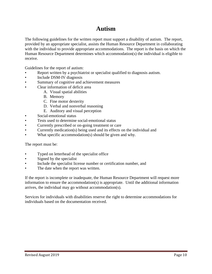## **Autism**

The following guidelines for the written report must support a disability of autism. The report, provided by an appropriate specialist, assists the Human Resource Department in collaborating with the individual to provide appropriate accommodations. The report is the basis on which the Human Resource Department determines which accommodation(s) the individual is eligible to receive.

Guidelines for the report of autism:

- Report written by a psychiatrist or specialist qualified to diagnosis autism.
- Include DSM-IV diagnosis
- Summary of cognitive and achievement measures
- Clear information of deficit area
	- A. Visual spatial abilities
	- B. Memory
	- C. Fine motor dexterity
	- D. Verbal and nonverbal reasoning
	- E. Auditory and visual perception
- Social-emotional status
- Tests used to determine social-emotional status
- Currently prescribed or on-going treatment or care
- Currently medication(s) being used and its effects on the individual and
- What specific accommodation(s) should be given and why.

The report must be:

- Typed on letterhead of the specialist office
- Signed by the specialist
- Include the specialist license number or certification number, and
- The date when the report was written.

If the report is incomplete or inadequate, the Human Resource Department will request more information to ensure the accommodation(s) is appropriate. Until the additional information arrives, the individual may go without accommodation(s).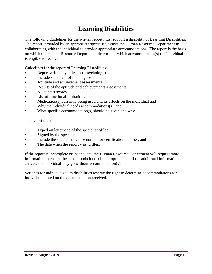## **Learning Disabilities**

The following guidelines for the written report must support a disability of Learning Disabilities. The report, provided by an appropriate specialist, assists the Human Resource Department in collaborating with the individual to provide appropriate accommodations. The report is the basis on which the Human Resource Department determines which accommodation(s) the individual is eligible to receive.

Guidelines for the report of Learning Disabilities:

- Report written by a licensed psychologist
- Include statement of the diagnosis
- Aptitude and achievement assessments
- Results of the aptitude and achievements assessments
- All subtest scores
- List of functional limitations
- Medication(s) currently being used and its effects on the individual and
- Why the individual needs accommodations(s), and
- What specific accommodation(s) should be given and why.

The report must be:

- Typed on letterhead of the specialist office
- Signed by the specialist
- Include the specialist license number or certification number, and
- The date when the report was written.

If the report is incomplete or inadequate, the Human Resource Department will request more information to ensure the accommodation(s) is appropriate. Until the additional information arrives, the individual may go without accommodation(s).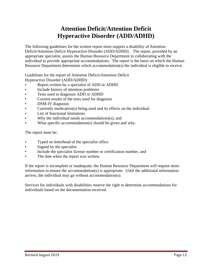#### **Attention Deficit/Attention Deficit Hyperactive Disorder (ADD/ADHD)**

The following guidelines for the written report must support a disability of Attention Deficit/Attention Deficit Hyperactive Disorder (ADD/ADHD) . The report, provided by an appropriate specialist, assists the Human Resource Department in collaborating with the individual to provide appropriate accommodations. The report is the basis on which the Human Resource Department determines which accommodation(s) the individual is eligible to receive.

Guidelines for the report of Attention Deficit/Attention Deficit Hyperactive Disorder (ADD/ADHD):

- Report written by a specialist of ADD or ADHD
- Include history of attention problems
- Tests used to diagnosis ADD or ADHD
- Current results of the tests used for diagnosis
- DSM-IV diagnosis
- Currently medication(s) being used and its effects on the individual
- List of functional limitations
- Why the individual needs accommodations(s), and
- What specific accommodation(s) should be given and why.

The report must be:

- Typed on letterhead of the specialist office
- Signed by the specialist
- Include the specialist license number or certification number, and
- The date when the report was written.

If the report is incomplete or inadequate, the Human Resource Department will request more information to ensure the accommodation(s) is appropriate. Until the additional information arrives, the individual may go without accommodation(s).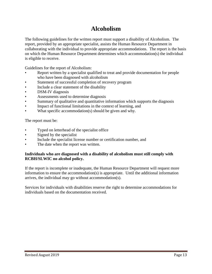#### **Alcoholism**

The following guidelines for the written report must support a disability of Alcoholism. The report, provided by an appropriate specialist, assists the Human Resource Department in collaborating with the individual to provide appropriate accommodations. The report is the basis on which the Human Resource Department determines which accommodation(s) the individual is eligible to receive.

Guidelines for the report of Alcoholism:

- Report written by a specialist qualified to treat and provide documentation for people who have been diagnosed with alcoholism
- Statement of successful completion of recovery program
- Include a clear statement of the disability
- DSM-IV diagnosis
- Assessments used to determine diagnosis
- Summary of qualitative and quantitative information which supports the diagnosis
- Impact of functional limitations in the context of learning, and
- What specific accommodation(s) should be given and why.

The report must be:

- Typed on letterhead of the specialist office
- Signed by the specialist
- Include the specialist license number or certification number, and
- The date when the report was written.

#### **Individuals who are diagnosed with a disability of alcoholism must still comply with RCBH/SLWIC no alcohol policy.**

If the report is incomplete or inadequate, the Human Resource Department will request more information to ensure the accommodation(s) is appropriate. Until the additional information arrives, the individual may go without accommodation(s).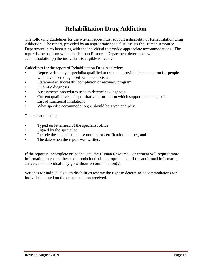## **Rehabilitation Drug Addiction**

The following guidelines for the written report must support a disability of Rehabilitation Drug Addiction. The report, provided by an appropriate specialist, assists the Human Resource Department in collaborating with the individual to provide appropriate accommodations. The report is the basis on which the Human Resource Department determines which accommodation(s) the individual is eligible to receive.

Guidelines for the report of Rehabilitation Drug Addiction:

- Report written by a specialist qualified to treat and provide documentation for people who have been diagnosed with alcoholism
- Statement of successful completion of recovery program
- DSM-IV diagnosis
- Assessments procedures used to determine diagnosis
- Current qualitative and quantitative information which supports the diagnosis
- List of functional limitations
- What specific accommodation(s) should be given and why.

The report must be:

- Typed on letterhead of the specialist office
- Signed by the specialist
- Include the specialist license number or certification number, and
- The date when the report was written.

If the report is incomplete or inadequate, the Human Resource Department will request more information to ensure the accommodation(s) is appropriate. Until the additional information arrives, the individual may go without accommodation(s).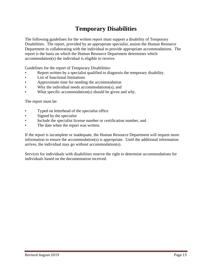## **Temporary Disabilities**

The following guidelines for the written report must support a disability of Temporary Disabilities. The report, provided by an appropriate specialist, assists the Human Resource Department in collaborating with the individual to provide appropriate accommodations. The report is the basis on which the Human Resource Department determines which accommodation(s) the individual is eligible to receive.

Guidelines for the report of Temporary Disabilities:

- Report written by a specialist qualified to diagnosis the temporary disability.
- List of functional limitations
- Approximate time for needing the accommodation
- Why the individual needs accommodations(s), and
- What specific accommodation(s) should be given and why.

The report must be:

- Typed on letterhead of the specialist office
- Signed by the specialist
- Include the specialist license number or certification number, and
- The date when the report was written.

If the report is incomplete or inadequate, the Human Resource Department will request more information to ensure the accommodation(s) is appropriate. Until the additional information arrives, the individual may go without accommodation(s).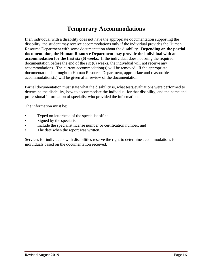#### **Temporary Accommodations**

If an individual with a disability does not have the appropriate documentation supporting the disability, the student may receive accommodations only if the individual provides the Human Resource Department with some documentation about the disability. **Depending on the partial documentation, the Human Resource Department may provide the individual with an accommodation for the first six (6) weeks.** If the individual does not bring the required documentation before the end of the six (6) weeks, the individual will not receive any accommodations. The current accommodation(s) will be removed. If the appropriate documentation is brought to Human Resource Department, appropriate and reasonable accommodations(s) will be given after review of the documentation.

Partial documentation must state what the disability is, what tests/evaluations were performed to determine the disability, how to accommodate the individual for that disability, and the name and professional information of specialist who provided the information.

The information must be:

- Typed on letterhead of the specialist office
- Signed by the specialist
- Include the specialist license number or certification number, and
- The date when the report was written.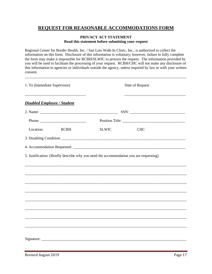#### **REQUEST FOR REASONABLE ACCOMMODATIONS FORM**

#### **PRIVACY ACT STATEMENT Read this statement before submitting your request**

Regional Center for Border Health, Inc. / San Luis Walk-In Clinic, Inc., is authorized to collect the information on this form. Disclosure of this information is voluntary; however, failure to fully complete the form may make it impossible for RCBH/SLWIC to process the request. The information provided by you will be used to facilitate the processing of your request. RCBH/CHC will not make any disclosure of this information to agencies or individuals outside the agency, unless required by law or with your written consent.

\_\_\_\_\_\_\_\_\_\_\_\_\_\_\_\_\_\_\_\_\_\_\_\_\_\_\_\_\_\_\_\_\_\_\_\_\_\_\_\_\_\_\_\_\_\_\_\_\_\_\_\_\_\_\_\_\_\_\_\_\_\_\_\_\_\_\_\_\_\_\_\_\_\_\_\_\_\_\_\_\_\_\_\_\_

| 1. To (Immediate Supervisor)                                                                                                                                                                                                                                                                                                                                                                                 |             | Date of Request                                                                        |            |  |
|--------------------------------------------------------------------------------------------------------------------------------------------------------------------------------------------------------------------------------------------------------------------------------------------------------------------------------------------------------------------------------------------------------------|-------------|----------------------------------------------------------------------------------------|------------|--|
| <b>Disabled Employee / Student</b>                                                                                                                                                                                                                                                                                                                                                                           |             |                                                                                        |            |  |
|                                                                                                                                                                                                                                                                                                                                                                                                              |             |                                                                                        |            |  |
| Phone: $\frac{1}{\sqrt{1-\frac{1}{2}}\sqrt{1-\frac{1}{2}}\sqrt{1-\frac{1}{2}}\sqrt{1-\frac{1}{2}}\sqrt{1-\frac{1}{2}}\sqrt{1-\frac{1}{2}}\sqrt{1-\frac{1}{2}}\sqrt{1-\frac{1}{2}}\sqrt{1-\frac{1}{2}}\sqrt{1-\frac{1}{2}}\sqrt{1-\frac{1}{2}}\sqrt{1-\frac{1}{2}}\sqrt{1-\frac{1}{2}}\sqrt{1-\frac{1}{2}}\sqrt{1-\frac{1}{2}}\sqrt{1-\frac{1}{2}}\sqrt{1-\frac{1}{2}}\sqrt{1-\frac{1}{2}}\sqrt{1-\frac{1}{2$ |             | Position Title:                                                                        |            |  |
| Location:                                                                                                                                                                                                                                                                                                                                                                                                    | <b>RCBH</b> | <b>SLWIC</b>                                                                           | <b>CHC</b> |  |
|                                                                                                                                                                                                                                                                                                                                                                                                              |             |                                                                                        |            |  |
|                                                                                                                                                                                                                                                                                                                                                                                                              |             |                                                                                        |            |  |
|                                                                                                                                                                                                                                                                                                                                                                                                              |             | 5. Justification: (Briefly describe why you need the accommodation you are requesting) |            |  |
|                                                                                                                                                                                                                                                                                                                                                                                                              |             |                                                                                        |            |  |
|                                                                                                                                                                                                                                                                                                                                                                                                              |             | ,我们也不能在这里的人,我们也不能在这里的人,我们也不能在这里的人,我们也不能在这里的人,我们也不能在这里的人,我们也不能在这里的人,我们也不能在这里的人,我们也      |            |  |
|                                                                                                                                                                                                                                                                                                                                                                                                              |             |                                                                                        |            |  |
|                                                                                                                                                                                                                                                                                                                                                                                                              |             |                                                                                        |            |  |
|                                                                                                                                                                                                                                                                                                                                                                                                              |             |                                                                                        |            |  |
|                                                                                                                                                                                                                                                                                                                                                                                                              |             |                                                                                        |            |  |
|                                                                                                                                                                                                                                                                                                                                                                                                              |             |                                                                                        |            |  |